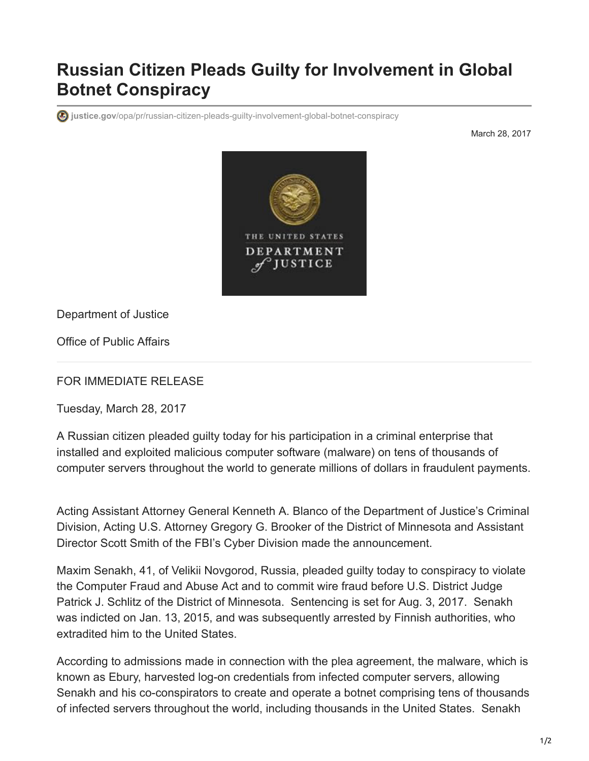## **Russian Citizen Pleads Guilty for Involvement in Global Botnet Conspiracy**

**justice.gov**[/opa/pr/russian-citizen-pleads-guilty-involvement-global-botnet-conspiracy](https://www.justice.gov/opa/pr/russian-citizen-pleads-guilty-involvement-global-botnet-conspiracy)

March 28, 2017



Department of Justice

Office of Public Affairs

## FOR IMMEDIATE RELEASE

Tuesday, March 28, 2017

A Russian citizen pleaded guilty today for his participation in a criminal enterprise that installed and exploited malicious computer software (malware) on tens of thousands of computer servers throughout the world to generate millions of dollars in fraudulent payments.

Acting Assistant Attorney General Kenneth A. Blanco of the Department of Justice's Criminal Division, Acting U.S. Attorney Gregory G. Brooker of the District of Minnesota and Assistant Director Scott Smith of the FBI's Cyber Division made the announcement.

Maxim Senakh, 41, of Velikii Novgorod, Russia, pleaded guilty today to conspiracy to violate the Computer Fraud and Abuse Act and to commit wire fraud before U.S. District Judge Patrick J. Schlitz of the District of Minnesota. Sentencing is set for Aug. 3, 2017. Senakh was indicted on Jan. 13, 2015, and was subsequently arrested by Finnish authorities, who extradited him to the United States.

According to admissions made in connection with the plea agreement, the malware, which is known as Ebury, harvested log-on credentials from infected computer servers, allowing Senakh and his co-conspirators to create and operate a botnet comprising tens of thousands of infected servers throughout the world, including thousands in the United States. Senakh